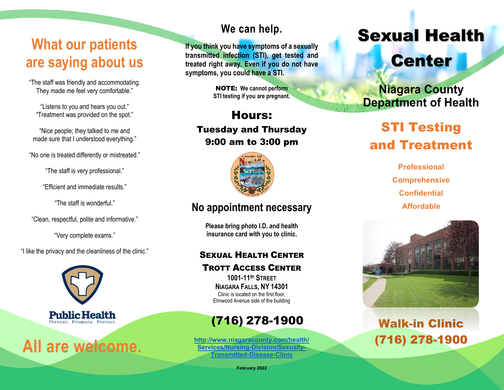# **What our patients are saying about us**

"The staff was friendly and accommodating. They made me feel very comfortable."

"Listens to you and hears you out." "Treatment was provided on the spot."

"Nice people; they talked to me and made sure that I understood everything."

"No one is treated differently or mistreated."

"The staff is very professional."

"Efficient and immediate results."

"The staff is wonderful."

"Clean, respectful, polite and informative."

"Very complete exams."

"I like the privacy and the cleanliness of the clinic."



**All are welcome.**

## **We can help.**

**If you think you have symptoms of a sexually transmitted infection (STI), get tested and treated right away. Even if you do not have symptoms, you could have a STI.**

> NOTE: **We cannot perform STI testing if you are pregnant.**

Hours: Tuesday and Thursday 9:00 am to 3:00 pm



## **No appointment necessary**

**Please bring photo I.D. and health insurance card with you to clinic.**

## SEXUAL HEALTH CENTER

TROTT ACCESS CENTER

**1001-11th STREET NIAGARA FALLS, NY 14301** Clinic is located on the first floor, Elmwood Avenue side of the building

# (716) 278-1900

**[http://www.niagaracounty.com/health/](http://www.niagaracounty.com/health/Services/Nursing-Division/Sexually-Transmitted-Disease-Clinic) [Services/Nursing-Division/Sexually-](http://www.niagaracounty.com/health/Services/Nursing-Division/Sexually-Transmitted-Disease-Clinic)[Transmitted-Disease-Clinic](http://www.niagaracounty.com/health/Services/Nursing-Division/Sexually-Transmitted-Disease-Clinic)**

Sexual Health

# **Center**

**Niagara County Department of Health** 

# STI Testing and Treatment

**Professional Comprehensive Confidential Affordable**



# Walk-in Clinic (716) 278-1900

**February 2022**